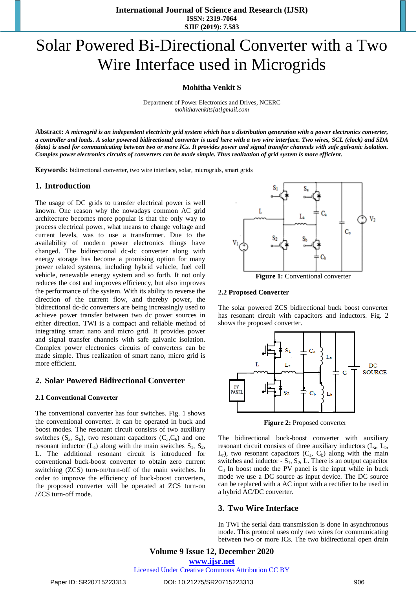**International Journal of Science and Research (IJSR) ISSN: 2319-7064 SJIF (2019): 7.583**

# Solar Powered Bi-Directional Converter with a Two Wire Interface used in Microgrids

**Mohitha Venkit S**

Department of Power Electronics and Drives, NCERC *mohithavenkits[at]gmail.com*

**Abstract:** *A microgrid is an independent electricity grid system which has a distribution generation with a power electronics converter, a controller and loads. A solar powered bidirectional converter is used here with a two wire interface. Two wires, SCL (clock) and SDA (data) is used for communicating between two or more ICs. It provides power and signal transfer channels with safe galvanic isolation. Complex power electronics circuits of converters can be made simple. Thus realization of grid system is more efficient.*

**Keywords:** bidirectional converter, two wire interface, solar, microgrids, smart grids

#### **1. Introduction**

The usage of DC grids to transfer electrical power is well known. One reason why the nowadays common AC grid architecture becomes more popular is that the only way to process electrical power, what means to change voltage and current levels, was to use a transformer. Due to the availability of modern power electronics things have changed. The bidirectional dc-dc converter along with energy storage has become a promising option for many power related systems, including hybrid vehicle, fuel cell vehicle, renewable energy system and so forth. It not only reduces the cost and improves efficiency, but also improves the performance of the system. With its ability to reverse the direction of the current flow, and thereby power, the bidirectional dc-dc converters are being increasingly used to achieve power transfer between two dc power sources in either direction. TWI is a compact and reliable method of integrating smart nano and micro grid. It provides power and signal transfer channels with safe galvanic isolation. Complex power electronics circuits of converters can be made simple. Thus realization of smart nano, micro grid is more efficient.

## **2. Solar Powered Bidirectional Converter**

#### **2.1 Conventional Converter**

The conventional converter has four switches. Fig. 1 shows the conventional converter. It can be operated in buck and boost modes. The resonant circuit consists of two auxiliary switches  $(S_a, S_b)$ , two resonant capacitors  $(C_a, C_b)$  and one resonant inductor  $(L_a)$  along with the main switches  $S_1$ ,  $S_2$ , L. The additional resonant circuit is introduced for conventional buck-boost converter to obtain zero current switching (ZCS) turn-on/turn-off of the main switches. In order to improve the efficiency of buck-boost converters, the proposed converter will be operated at ZCS turn-on /ZCS turn-off mode.



**Figure 1:** Conventional converter

#### **2.2 Proposed Converter**

The solar powered ZCS bidirectional buck boost converter has resonant circuit with capacitors and inductors. Fig. 2 shows the proposed converter.



**Figure 2:** Proposed converter

The bidirectional buck-boost converter with auxiliary resonant circuit consists of three auxiliary inductors  $(L_a, L_b,$  $L_r$ ), two resonant capacitors  $(C_a, C_b)$  along with the main switches and inductor  $-S_1, S_2, L$ . There is an output capacitor  $C_{I}$  In boost mode the PV panel is the input while in buck mode we use a DC source as input device. The DC source can be replaced with a AC input with a rectifier to be used in a hybrid AC/DC converter.

### **3. Two Wire Interface**

In TWI the serial data transmission is done in asynchronous mode. This protocol uses only two wires for communicating between two or more ICs. The two bidirectional open drain

**Volume 9 Issue 12, December 2020 www.ijsr.net** Licensed Under Creative Commons Attribution CC BY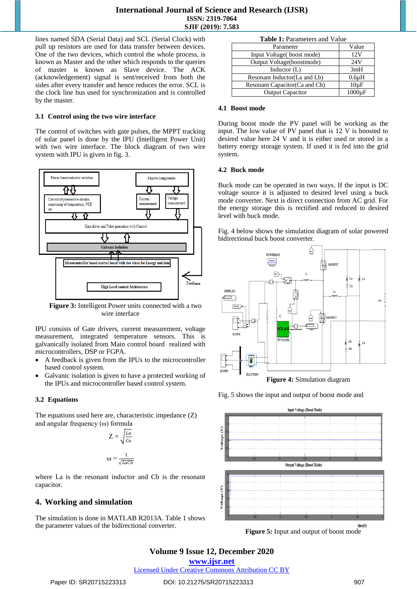lines named SDA (Serial Data) and SCL (Serial Clock) with pull up resistors are used for data transfer between devices. One of the two devices, which control the whole process, is known as Master and the other which responds to the queries of master is known as Slave device. The ACK (acknowledgement) signal is sent/received from both the sides after every transfer and hence reduces the error. SCL is the clock line bus used for synchronization and is controlled by the master.

## **3.1 Control using the two wire interface**

The control of switches with gate pulses, the MPPT tracking of solar panel is done by the IPU (Intelligent Power Unit) with two wire interface. The block diagram of two wire system with IPU is given in fig. 3.



**Figure 3:** Intelligent Power units connected with a two wire interface

IPU consists of Gate drivers, current measurement, voltage measurement, integrated temperature sensors. This is galvanically isolated from Main control board realized with microcontrollers, DSP or FGPA.

- A feedback is given from the IPUs to the microcontroller based control system.
- Galvanic isolation is given to have a protected working of the IPUs and microcontroller based control system.

## **3.2 Equations**

The equations used here are, characteristic impedance (Z) and angular frequency (ω) formula

$$
Z = \sqrt{\frac{La}{Ca}}
$$

$$
\omega = \frac{1}{\sqrt{LaCb}}
$$

where La is the resonant inductor and Cb is the resonant capacitor.

## **4. Working and simulation**

The simulation is done in MATLAB R2013A. Table 1 shows the parameter values of the bidirectional converter.

| <b>Table 1.</b> Falameters and value |             |
|--------------------------------------|-------------|
| Parameter                            | Value       |
| Input Voltage(boost mode)            | 12V         |
| Output Voltage(boostmode)            | 24V         |
| Inductor $(L)$                       | 3mH         |
| Resonant Inductor (La and Lb)        | $0.6\mu H$  |
| Resonant Capacitor (Ca and Cb)       | $10\mu F$   |
| <b>Output Capacitor</b>              | $1000\mu F$ |

#### **4.1 Boost mode**

During boost mode the PV panel will be working as the input. The low value of PV panel that is 12 V is boosted to desired value here 24 V and it is either used or stored in a battery energy storage system. If used it is fed into the grid system.

#### **4.2 Buck mode**

Buck mode can be operated in two ways. If the input is DC voltage source it is adjusted to desired level using a buck mode converter. Next is direct connection from AC grid. For the energy storage this is rectified and reduced to desired level with buck mode.

Fig. 4 below shows the simulation diagram of solar powered bidirectional buck boost converter.



**Figure 4:** Simulation diagram

Fig. 5 shows the input and output of boost mode and



**Figure 5:** Input and output of boost mode

## **Volume 9 Issue 12, December 2020**

**www.ijsr.net**

Licensed Under Creative Commons Attribution CC BY

**Table 1:** Parameters and Value